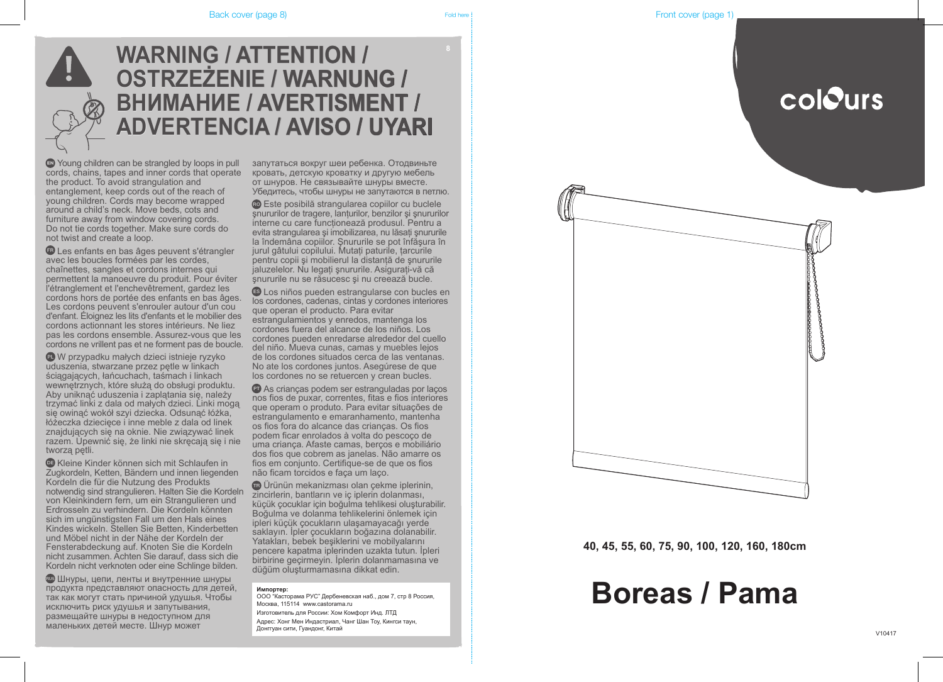### **Импортер:**

ООО "Касторама РУС" Дербеневская наб., дом 7, стр 8 Россия, Москва, 115114 www.castorama.ru

Изготовитель для России: Хом Комфорт Инд. ЛТД Адрес: Хонг Мен Индастриал, Чанг Шан Тоу, Кингси таун, Донггуан сити, Гуандонг, Китай



# **WARNING / ATTENTION / OSTRZEŻENIE / WARNUNG / ВНИМАНИЕ / AVERTISMENT / ADVERTENCIA / AVISO / UYARI**

Young children can be strangled by loops in pull cords, chains, tapes and inner cords that operate the product. To avoid strangulation and entanglement, keep cords out of the reach of young children. Cords may become wrapped around a child's neck. Move beds, cots and furniture away from window covering cords. Do not tie cords together. Make sure cords do not twist and create a loop.

Les enfants en bas âges peuvent s'étrangler avec les boucles formées par les cordes, chaînettes, sangles et cordons internes qui permettent la manoeuvre du produit. Pour éviter l'étranglement et l'enchevêtrement, gardez les cordons hors de portée des enfants en bas âges. Les cordons peuvent s'enrouler autour d'un cou d'enfant. Éloignez les lits d'enfants et le mobilier des cordons actionnant les stores intérieurs. Ne liez pas les cordons ensemble. Assurez-vous que les cordons ne vrillent pas et ne forment pas de boucle.

**DE Kleine Kinder können sich mit Schlaufen in** Zugkordeln, Ketten, Bändern und innen liegenden Kordeln die für die Nutzung des Produkts notwendig sind strangulieren. Halten Sie die Kordeln von Kleinkindern fern, um ein Strangulieren und Erdrosseln zu verhindern. Die Kordeln könnten sich im ungünstigsten Fall um den Hals eines Kindes wickeln. Stellen Sie Betten, Kinderbetten und Möbel nicht in der Nähe der Kordeln der Fensterabdeckung auf. Knoten Sie die Kordeln nicht zusammen. Achten Sie darauf, dass sich die Kordeln nicht verknoten oder eine Schlinge bilden.

**EUS ШНУРЫ, ЦЕПИ, ЛЕНТЫ И ВНУТРЕННИЕ ШНУРЫ** продукта представляют опасность для детей, так как могут стать причиной удушья. Чтобы исключить риск удушья и запутывания, размещайте шнуры в недоступном для маленьких детей месте. Шнур может

W przypadku małych dzieci istnieje ryzyko uduszenia, stwarzane przez pętle w linkach ściągających, łańcuchach, taśmach i linkach wewnętrznych, które służą do obsługi produktu. Aby uniknąć uduszenia i zaplątania się, należy trzymać linki z dala od małych dzieci. Linki mogą się owinąć wokół szyi dziecka. Odsunąć łóżka, łóżeczka dziecięce i inne meble z dala od linek znajdujących się na oknie. Nie związywać linek razem. Upewnić się, że linki nie skręcają się i nie tworzą pętli.

запутаться вокруг шеи ребенка. Отодвиньте кровать, детскую кроватку и другую мебель от шнуров. Не связывайте шнуры вместе. Убедитесь, чтобы шнуры не запутаются в петлю.

Este posibilă strangularea copiilor cu buclele şnururilor de tragere, lanţurilor, benzilor şi şnururilor interne cu care funcţionează produsul. Pentru a evita strangularea și imobilizarea, nu lăsați șnururile la îndemâna copiilor. Şnururile se pot înfăşura în jurul gâtului copilului. Mutaţi paturile, ţarcurile pentru copii şi mobilierul la distanţă de şnururile jaluzelelor. Nu legați șnururile. Asigurați-vă că şnururile nu se răsucesc şi nu creează bucle.

Los niños pueden estrangularse con bucles en los cordones, cadenas, cintas y cordones interiores que operan el producto. Para evitar estrangulamientos y enredos, mantenga los cordones fuera del alcance de los niños. Los cordones pueden enredarse alrededor del cuello del niño. Mueva cunas, camas y muebles lejos de los cordones situados cerca de las ventanas. No ate los cordones juntos. Asegúrese de que los cordones no se retuercen y crean bucles.

As crianças podem ser estranguladas por laços nos fios de puxar, correntes, fitas e fios interiores que operam o produto. Para evitar situações de estrangulamento e emaranhamento, mantenha os fios fora do alcance das crianças. Os fios podem ficar enrolados à volta do pescoço de uma criança. Afaste camas, berços e mobiliário dos fios que cobrem as janelas. Não amarre os fios em conjunto. Certifique-se de que os fios não ficam torcidos e faça um laço.

Ürünün mekanizması olan çekme iplerinin, zincirlerin, bantların ve iç iplerin dolanması, küçük çocuklar için boğulma tehlikesi oluşturabilir. Boğulma ve dolanma tehlikelerini önlemek için ipleri küçük çocukların ulaşamayacağı yerde saklayın. İpler çocukların boğazına dolanabilir. Yatakları, bebek beşiklerini ve mobilyalarını pencere kapatma iplerinden uzakta tutun. İpleri birbirine geçirmeyin. İplerin dolanmamasına ve düğüm oluşturmamasına dikkat edin.

# **Boreas / Pama**



**40, 45, 55, 60, 75, 90, 100, 120, 160, 180cm**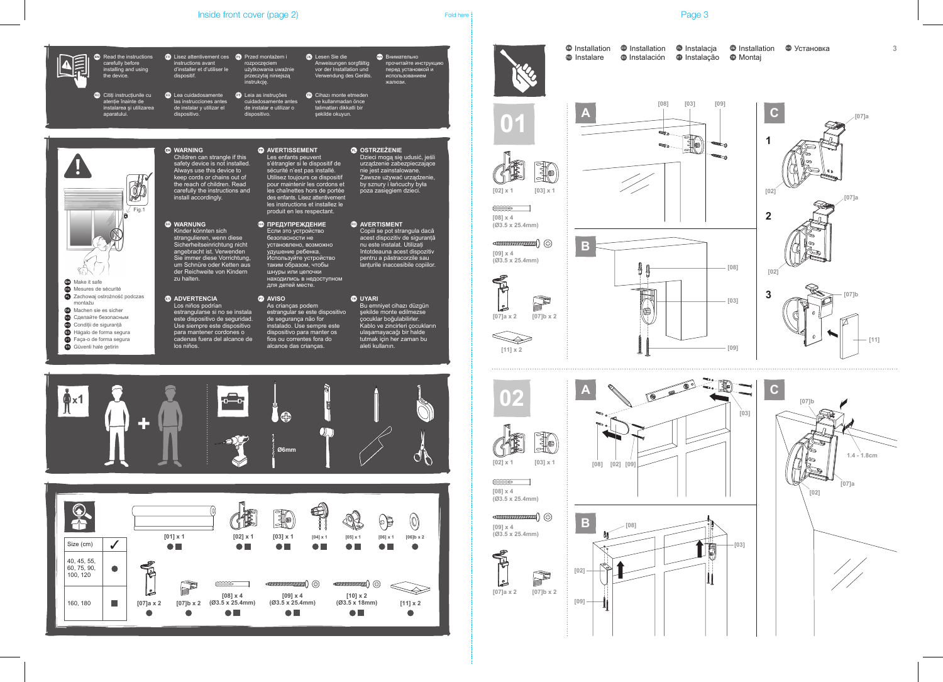### Inside front cover (page 2) Told here is a set of the Page 3 Fold here is a set of the Page 3



**3**



**[03]**

E

 $\mathbf{\mathbf{\mathsf{\Pi}}}$ 

**[03]**

 $_{\rm{eff,1000}}$ (HARMANIA)

10



**[09] x 4**

**[08] x 4**

**[09] x 4 (Ø3.5 x 25.4mm)**

**[08] x 4 (Ø3.5 x 25.4mm)**

 $\begin{picture}(20,20) \put(0,0){\line(1,0){10}} \put(15,0){\line(1,0){10}} \put(15,0){\line(1,0){10}} \put(15,0){\line(1,0){10}} \put(15,0){\line(1,0){10}} \put(15,0){\line(1,0){10}} \put(15,0){\line(1,0){10}} \put(15,0){\line(1,0){10}} \put(15,0){\line(1,0){10}} \put(15,0){\line(1,0){10}} \put(15,0){\line(1,0){10}} \put(15,0){\line(1$ 





Installation iD Installation iD Instalacja iD Installation iD Установка Instalare <sup>so</sup> Instalación **o Instalação o Montaj** 





**[07]a x 2 [07]b x 2**

D

**INTERNATIONAL SERVICE**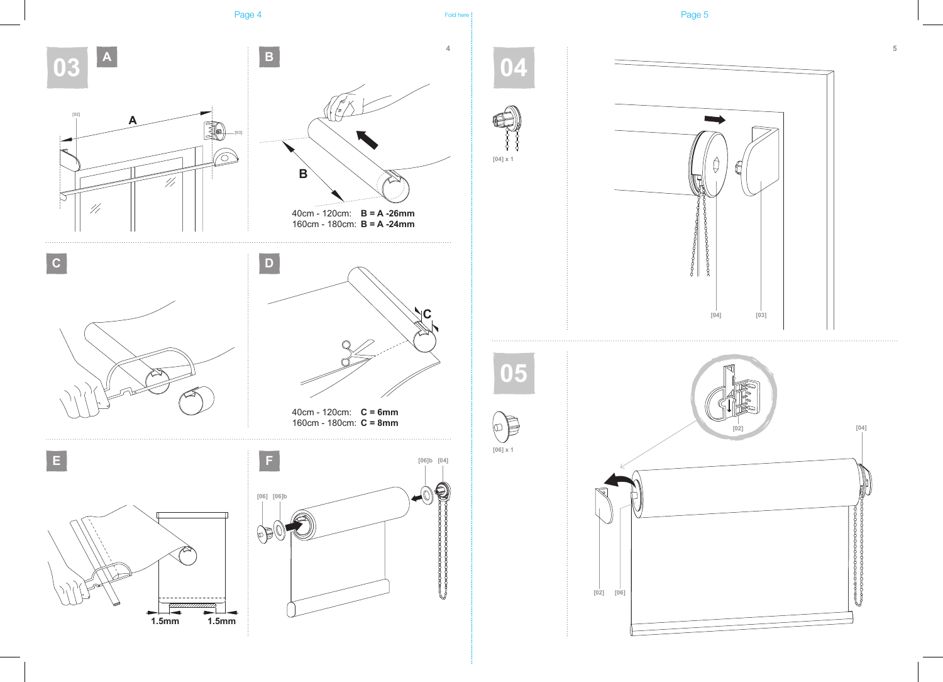